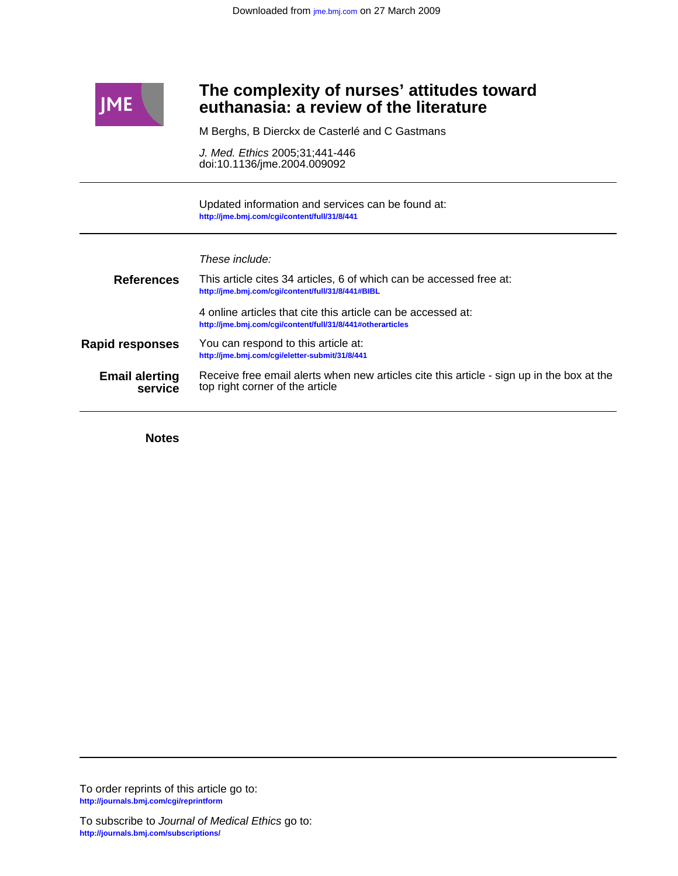

# **euthanasia: a review of the literature The complexity of nurses' attitudes toward**

M Berghs, B Dierckx de Casterlé and C Gastmans

doi:10.1136/jme.2004.009092 J. Med. Ethics 2005;31;441-446

**<http://jme.bmj.com/cgi/content/full/31/8/441>** Updated information and services can be found at:

These include:

| <b>References</b>                | This article cites 34 articles, 6 of which can be accessed free at:<br>http://jme.bmj.com/cqi/content/full/31/8/441#BIBL     |
|----------------------------------|------------------------------------------------------------------------------------------------------------------------------|
|                                  | 4 online articles that cite this article can be accessed at:<br>http://jme.bmj.com/cgi/content/full/31/8/441#otherarticles   |
| <b>Rapid responses</b>           | You can respond to this article at:<br>http://jme.bmj.com/cqi/eletter-submit/31/8/441                                        |
| <b>Email alerting</b><br>service | Receive free email alerts when new articles cite this article - sign up in the box at the<br>top right corner of the article |

**Notes**

**<http://journals.bmj.com/cgi/reprintform>** To order reprints of this article go to: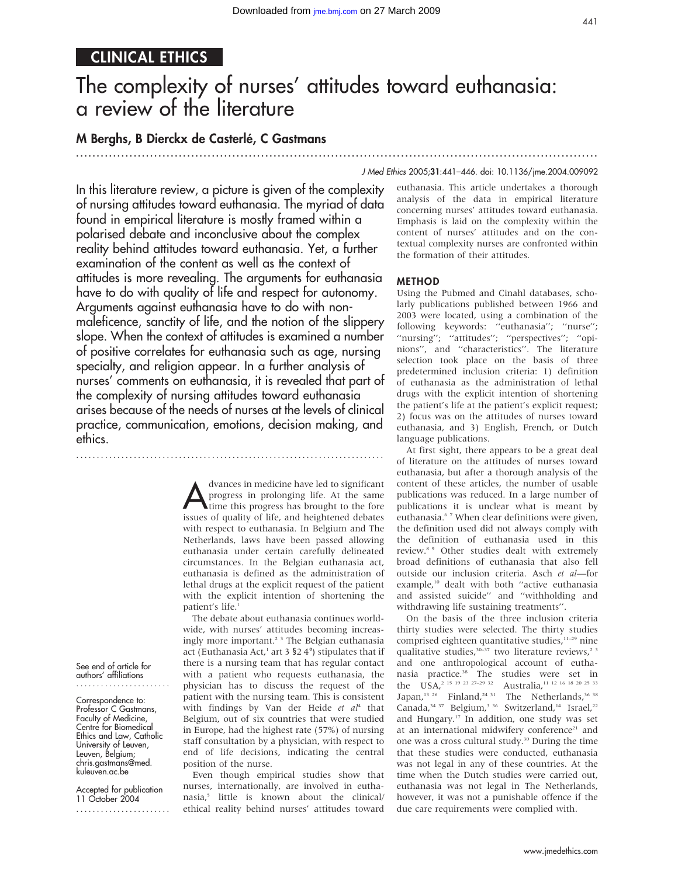# CLINICAL ETHICS

# The complexity of nurses' attitudes toward euthanasia: a review of the literature

...............................................................................................................................

# M Berghs, B Dierckx de Casterlé, C Gastmans

#### J Med Ethics 2005;31:441–446. doi: 10.1136/jme.2004.009092

In this literature review, a picture is given of the complexity of nursing attitudes toward euthanasia. The myriad of data found in empirical literature is mostly framed within a polarised debate and inconclusive about the complex reality behind attitudes toward euthanasia. Yet, a further examination of the content as well as the context of attitudes is more revealing. The arguments for euthanasia have to do with quality of life and respect for autonomy. Arguments against euthanasia have to do with nonmaleficence, sanctity of life, and the notion of the slippery slope. When the context of attitudes is examined a number of positive correlates for euthanasia such as age, nursing specialty, and religion appear. In a further analysis of nurses' comments on euthanasia, it is revealed that part of the complexity of nursing attitudes toward euthanasia arises because of the needs of nurses at the levels of clinical practice, communication, emotions, decision making, and ethics.

...........................................................................

dvances in medicine have led to significant<br>progress in prolonging life. At the same<br>time this progress has brought to the fore<br>issues of quality of life, and beightened debates progress in prolonging life. At the same issues of quality of life, and heightened debates with respect to euthanasia. In Belgium and The Netherlands, laws have been passed allowing euthanasia under certain carefully delineated circumstances. In the Belgian euthanasia act, euthanasia is defined as the administration of lethal drugs at the explicit request of the patient with the explicit intention of shortening the patient's life.

The debate about euthanasia continues worldwide, with nurses' attitudes becoming increasingly more important.2 3 The Belgian euthanasia act (Euthanasia Act,<sup>1</sup> art 3  $$24^{\circ}$$ ) stipulates that if there is a nursing team that has regular contact with a patient who requests euthanasia, the physician has to discuss the request of the patient with the nursing team. This is consistent with findings by Van der Heide et  $aI<sup>4</sup>$  that Belgium, out of six countries that were studied in Europe, had the highest rate (57%) of nursing staff consultation by a physician, with respect to end of life decisions, indicating the central position of the nurse.

Even though empirical studies show that nurses, internationally, are involved in euthanasia,5 little is known about the clinical/ ethical reality behind nurses' attitudes toward euthanasia. This article undertakes a thorough analysis of the data in empirical literature concerning nurses' attitudes toward euthanasia. Emphasis is laid on the complexity within the content of nurses' attitudes and on the contextual complexity nurses are confronted within the formation of their attitudes.

#### METHOD

Using the Pubmed and Cinahl databases, scholarly publications published between 1966 and 2003 were located, using a combination of the following keywords: ''euthanasia''; ''nurse''; ''nursing''; ''attitudes''; ''perspectives''; ''opinions'', and ''characteristics''. The literature selection took place on the basis of three predetermined inclusion criteria: 1) definition of euthanasia as the administration of lethal drugs with the explicit intention of shortening the patient's life at the patient's explicit request; 2) focus was on the attitudes of nurses toward euthanasia, and 3) English, French, or Dutch language publications.

At first sight, there appears to be a great deal of literature on the attitudes of nurses toward euthanasia, but after a thorough analysis of the content of these articles, the number of usable publications was reduced. In a large number of publications it is unclear what is meant by euthanasia.<sup>67</sup> When clear definitions were given, the definition used did not always comply with the definition of euthanasia used in this review.8 9 Other studies dealt with extremely broad definitions of euthanasia that also fell outside our inclusion criteria. Asch et al—for example,<sup>10</sup> dealt with both "active euthanasia and assisted suicide'' and ''withholding and withdrawing life sustaining treatments''.

On the basis of the three inclusion criteria thirty studies were selected. The thirty studies comprised eighteen quantitative studies, $11-29$  nine qualitative studies, $30-37$  two literature reviews,<sup>23</sup> and one anthropological account of euthanasia practice.38 The studies were set in the USA,<sup>2</sup> <sup>15 19</sup> <sup>23 27–29</sup> <sup>32</sup> Australia,<sup>11 12 16 18 20 <sup>25</sup> <sup>33</sup></sup> Japan,<sup>13 26</sup> Finland,<sup>24 31</sup> The Netherlands,<sup>36 38</sup> Canada,<sup>34 37</sup> Belgium,<sup>3 36</sup> Switzerland,<sup>14</sup> Israel,<sup>22</sup> and Hungary.17 In addition, one study was set at an international midwifery conference<sup>21</sup> and one was a cross cultural study.30 During the time that these studies were conducted, euthanasia was not legal in any of these countries. At the time when the Dutch studies were carried out, euthanasia was not legal in The Netherlands, however, it was not a punishable offence if the due care requirements were complied with.

See end of article for authors' affiliations .......................

Correspondence to: Professor C Gastmans, Faculty of Medicine, Centre for Biomedical Ethics and Law, Catholic University of Leuven, Leuven, Belgium; chris.gastmans@med. kuleuven.ac.be

Accepted for publication 11 October 2004 .......................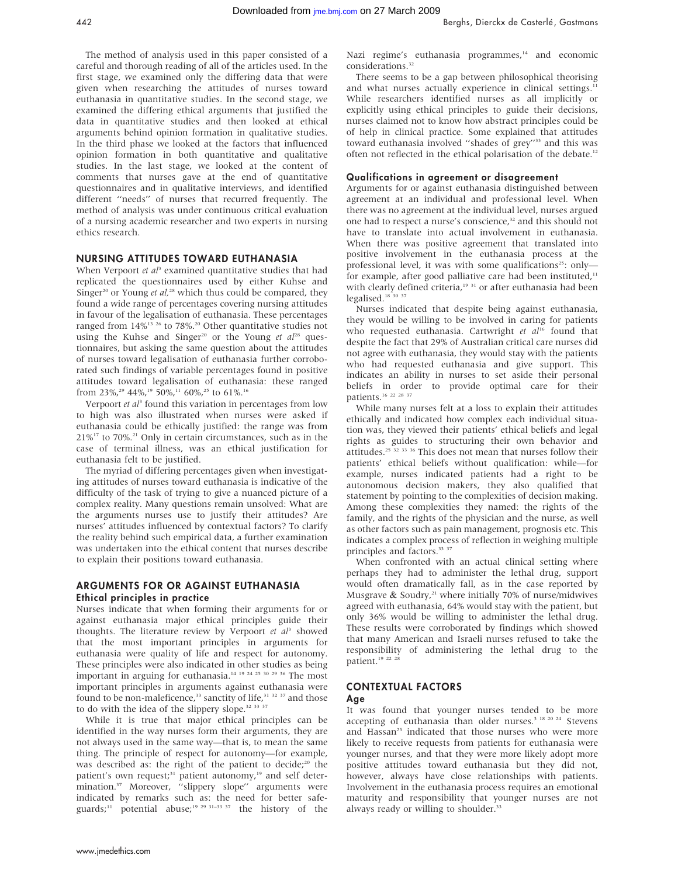The method of analysis used in this paper consisted of a careful and thorough reading of all of the articles used. In the first stage, we examined only the differing data that were given when researching the attitudes of nurses toward euthanasia in quantitative studies. In the second stage, we examined the differing ethical arguments that justified the data in quantitative studies and then looked at ethical arguments behind opinion formation in qualitative studies. In the third phase we looked at the factors that influenced opinion formation in both quantitative and qualitative studies. In the last stage, we looked at the content of comments that nurses gave at the end of quantitative questionnaires and in qualitative interviews, and identified different ''needs'' of nurses that recurred frequently. The method of analysis was under continuous critical evaluation of a nursing academic researcher and two experts in nursing ethics research.

# NURSING ATTITUDES TOWARD EUTHANASIA

When Verpoort et  $a<sup>13</sup>$  examined quantitative studies that had replicated the questionnaires used by either Kuhse and Singer<sup>20</sup> or Young et al,<sup>28</sup> which thus could be compared, they found a wide range of percentages covering nursing attitudes in favour of the legalisation of euthanasia. These percentages ranged from  $14\%$ <sup>13 26</sup> to 78%.<sup>20</sup> Other quantitative studies not using the Kuhse and Singer<sup>20</sup> or the Young et  $al^{28}$  questionnaires, but asking the same question about the attitudes of nurses toward legalisation of euthanasia further corroborated such findings of variable percentages found in positive attitudes toward legalisation of euthanasia: these ranged from 23%,<sup>29</sup> 44%,<sup>19</sup> 50%,<sup>11</sup> 60%,<sup>25</sup> to 61%.<sup>16</sup>

Verpoort  $et$   $a<sup>p</sup>$  found this variation in percentages from low to high was also illustrated when nurses were asked if euthanasia could be ethically justified: the range was from  $21\%^{17}$  to 70%.<sup>21</sup> Only in certain circumstances, such as in the case of terminal illness, was an ethical justification for euthanasia felt to be justified.

The myriad of differing percentages given when investigating attitudes of nurses toward euthanasia is indicative of the difficulty of the task of trying to give a nuanced picture of a complex reality. Many questions remain unsolved: What are the arguments nurses use to justify their attitudes? Are nurses' attitudes influenced by contextual factors? To clarify the reality behind such empirical data, a further examination was undertaken into the ethical content that nurses describe to explain their positions toward euthanasia.

#### ARGUMENTS FOR OR AGAINST EUTHANASIA Ethical principles in practice

Nurses indicate that when forming their arguments for or against euthanasia major ethical principles guide their thoughts. The literature review by Verpoort et  $al^3$  showed that the most important principles in arguments for euthanasia were quality of life and respect for autonomy. These principles were also indicated in other studies as being important in arguing for euthanasia.14 19 24 25 30 29 36 The most important principles in arguments against euthanasia were found to be non-maleficence,<sup>33</sup> sanctity of life,<sup>31 32 37</sup> and those to do with the idea of the slippery slope.<sup>32</sup> <sup>33</sup> <sup>37</sup>

While it is true that major ethical principles can be identified in the way nurses form their arguments, they are not always used in the same way—that is, to mean the same thing. The principle of respect for autonomy—for example, was described as: the right of the patient to decide;<sup>20</sup> the patient's own request;<sup>31</sup> patient autonomy,<sup>19</sup> and self determination.<sup>37</sup> Moreover, "slippery slope" arguments were indicated by remarks such as: the need for better safeguards;<sup>11</sup> potential abuse;<sup>19 29 31–33 37</sup> the history of the Nazi regime's euthanasia programmes,<sup>14</sup> and economic considerations.<sup>32</sup>

There seems to be a gap between philosophical theorising and what nurses actually experience in clinical settings.<sup>1</sup> While researchers identified nurses as all implicitly or explicitly using ethical principles to guide their decisions, nurses claimed not to know how abstract principles could be of help in clinical practice. Some explained that attitudes toward euthanasia involved "shades of grey"<sup>33</sup> and this was often not reflected in the ethical polarisation of the debate.12

#### Qualifications in agreement or disagreement

Arguments for or against euthanasia distinguished between agreement at an individual and professional level. When there was no agreement at the individual level, nurses argued one had to respect a nurse's conscience,<sup>32</sup> and this should not have to translate into actual involvement in euthanasia. When there was positive agreement that translated into positive involvement in the euthanasia process at the professional level, it was with some qualifications<sup>25</sup>: onlyfor example, after good palliative care had been instituted, $11$ with clearly defined criteria,<sup>19 31</sup> or after euthanasia had been legalised.<sup>18</sup> 30 37

Nurses indicated that despite being against euthanasia, they would be willing to be involved in caring for patients who requested euthanasia. Cartwright et  $al<sup>16</sup>$  found that despite the fact that 29% of Australian critical care nurses did not agree with euthanasia, they would stay with the patients who had requested euthanasia and give support. This indicates an ability in nurses to set aside their personal beliefs in order to provide optimal care for their patients.16 22 28 37

While many nurses felt at a loss to explain their attitudes ethically and indicated how complex each individual situation was, they viewed their patients' ethical beliefs and legal rights as guides to structuring their own behavior and attitudes.25 32 33 36 This does not mean that nurses follow their patients' ethical beliefs without qualification: while—for example, nurses indicated patients had a right to be autonomous decision makers, they also qualified that statement by pointing to the complexities of decision making. Among these complexities they named: the rights of the family, and the rights of the physician and the nurse, as well as other factors such as pain management, prognosis etc. This indicates a complex process of reflection in weighing multiple principles and factors.<sup>33 37</sup>

When confronted with an actual clinical setting where perhaps they had to administer the lethal drug, support would often dramatically fall, as in the case reported by Musgrave  $\&$  Soudry,<sup>21</sup> where initially 70% of nurse/midwives agreed with euthanasia, 64% would stay with the patient, but only 36% would be willing to administer the lethal drug. These results were corroborated by findings which showed that many American and Israeli nurses refused to take the responsibility of administering the lethal drug to the patient.<sup>19</sup> <sup>22</sup> <sup>2</sup>

#### CONTEXTUAL FACTORS Age

It was found that younger nurses tended to be more accepting of euthanasia than older nurses.<sup>3 18 20 24</sup> Stevens and Hassan<sup>25</sup> indicated that those nurses who were more likely to receive requests from patients for euthanasia were younger nurses, and that they were more likely adopt more positive attitudes toward euthanasia but they did not, however, always have close relationships with patients. Involvement in the euthanasia process requires an emotional maturity and responsibility that younger nurses are not always ready or willing to shoulder.<sup>33</sup>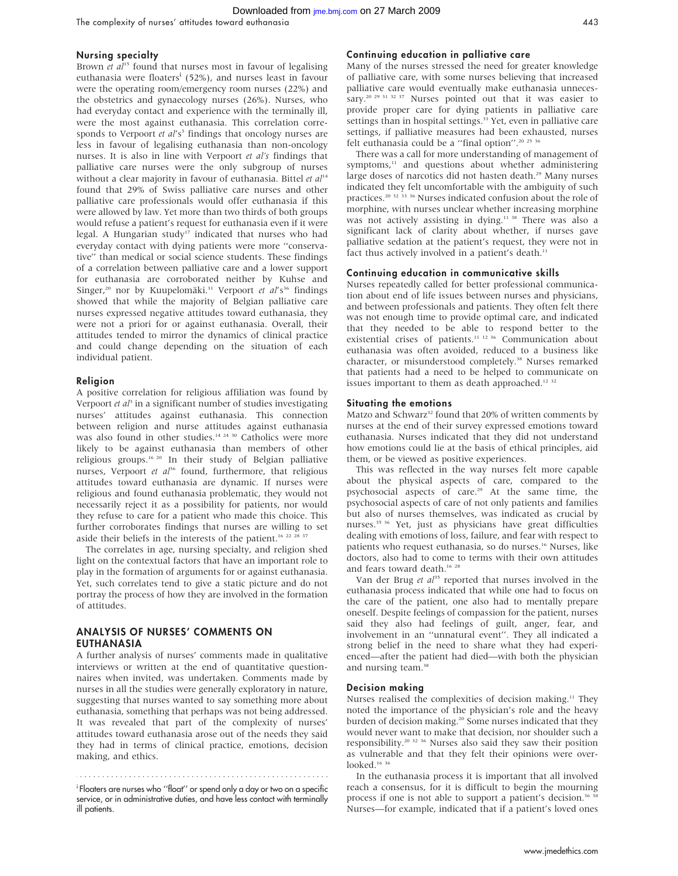The complexity of nurses' attitudes toward euthanasia 443

### Nursing specialty

Brown et  $al^{15}$  found that nurses most in favour of legalising euthanasia were floaters<sup>i</sup> (52%), and nurses least in favour were the operating room/emergency room nurses (22%) and the obstetrics and gynaecology nurses (26%). Nurses, who had everyday contact and experience with the terminally ill, were the most against euthanasia. This correlation corresponds to Verpoort et al's<sup>3</sup> findings that oncology nurses are less in favour of legalising euthanasia than non-oncology nurses. It is also in line with Verpoort et al's findings that palliative care nurses were the only subgroup of nurses without a clear majority in favour of euthanasia. Bittel et  $al<sup>14</sup>$ found that 29% of Swiss palliative care nurses and other palliative care professionals would offer euthanasia if this were allowed by law. Yet more than two thirds of both groups would refuse a patient's request for euthanasia even if it were legal. A Hungarian study<sup>17</sup> indicated that nurses who had everyday contact with dying patients were more ''conservative'' than medical or social science students. These findings of a correlation between palliative care and a lower support for euthanasia are corroborated neither by Kuhse and Singer,<sup>20</sup> nor by Kuupelomäki.<sup>31</sup> Verpoort et al's<sup>36</sup> findings showed that while the majority of Belgian palliative care nurses expressed negative attitudes toward euthanasia, they were not a priori for or against euthanasia. Overall, their attitudes tended to mirror the dynamics of clinical practice and could change depending on the situation of each individual patient.

#### Religion

A positive correlation for religious affiliation was found by Verpoort et  $a^{\beta}$  in a significant number of studies investigating nurses' attitudes against euthanasia. This connection between religion and nurse attitudes against euthanasia was also found in other studies.<sup>14 24 30</sup> Catholics were more likely to be against euthanasia than members of other religious groups.16 20 In their study of Belgian palliative nurses, Verpoort et al<sup>36</sup> found, furthermore, that religious attitudes toward euthanasia are dynamic. If nurses were religious and found euthanasia problematic, they would not necessarily reject it as a possibility for patients, nor would they refuse to care for a patient who made this choice. This further corroborates findings that nurses are willing to set aside their beliefs in the interests of the patient.<sup>16 22 28</sup>

The correlates in age, nursing specialty, and religion shed light on the contextual factors that have an important role to play in the formation of arguments for or against euthanasia. Yet, such correlates tend to give a static picture and do not portray the process of how they are involved in the formation of attitudes.

# ANALYSIS OF NURSES' COMMENTS ON EUTHANASIA

A further analysis of nurses' comments made in qualitative interviews or written at the end of quantitative questionnaires when invited, was undertaken. Comments made by nurses in all the studies were generally exploratory in nature, suggesting that nurses wanted to say something more about euthanasia, something that perhaps was not being addressed. It was revealed that part of the complexity of nurses' attitudes toward euthanasia arose out of the needs they said they had in terms of clinical practice, emotions, decision making, and ethics.

i Floaters are nurses who ''float'' or spend only a day or two on a specific service, or in administrative duties, and have less contact with terminally ill patients.

#### Continuing education in palliative care

Many of the nurses stressed the need for greater knowledge of palliative care, with some nurses believing that increased palliative care would eventually make euthanasia unnecessary.<sup>20</sup> <sup>29 31 32 37</sup> Nurses pointed out that it was easier to provide proper care for dying patients in palliative care settings than in hospital settings.<sup>33</sup> Yet, even in palliative care settings, if palliative measures had been exhausted, nurses felt euthanasia could be a ''final option''.20 25 36

There was a call for more understanding of management of symptoms,<sup>11</sup> and questions about whether administering large doses of narcotics did not hasten death.<sup>29</sup> Many nurses indicated they felt uncomfortable with the ambiguity of such practices.<sup>20 32 33</sup> <sup>36</sup> Nurses indicated confusion about the role of morphine, with nurses unclear whether increasing morphine was not actively assisting in dying.<sup>11 38</sup> There was also a significant lack of clarity about whether, if nurses gave palliative sedation at the patient's request, they were not in fact thus actively involved in a patient's death.<sup>11</sup>

#### Continuing education in communicative skills

Nurses repeatedly called for better professional communication about end of life issues between nurses and physicians, and between professionals and patients. They often felt there was not enough time to provide optimal care, and indicated that they needed to be able to respond better to the existential crises of patients.<sup>11 12 36</sup> Communication about euthanasia was often avoided, reduced to a business like character, or misunderstood completely.<sup>38</sup> Nurses remarked that patients had a need to be helped to communicate on issues important to them as death approached.<sup>12 32</sup>

#### Situating the emotions

Matzo and Schwarz<sup>32</sup> found that 20% of written comments by nurses at the end of their survey expressed emotions toward euthanasia. Nurses indicated that they did not understand how emotions could lie at the basis of ethical principles, aid them, or be viewed as positive experiences.

This was reflected in the way nurses felt more capable about the physical aspects of care, compared to the psychosocial aspects of care.<sup>29</sup> At the same time, the psychosocial aspects of care of not only patients and families but also of nurses themselves, was indicated as crucial by nurses.35 36 Yet, just as physicians have great difficulties dealing with emotions of loss, failure, and fear with respect to patients who request euthanasia, so do nurses.<sup>16</sup> Nurses, like doctors, also had to come to terms with their own attitudes and fears toward death.<sup>16</sup> <sup>28</sup>

Van der Brug et  $al^{35}$  reported that nurses involved in the euthanasia process indicated that while one had to focus on the care of the patient, one also had to mentally prepare oneself. Despite feelings of compassion for the patient, nurses said they also had feelings of guilt, anger, fear, and involvement in an ''unnatural event''. They all indicated a strong belief in the need to share what they had experienced—after the patient had died—with both the physician and nursing team.<sup>38</sup>

#### Decision making

Nurses realised the complexities of decision making.<sup>11</sup> They noted the importance of the physician's role and the heavy burden of decision making.<sup>20</sup> Some nurses indicated that they would never want to make that decision, nor shoulder such a responsibility.20 32 36 Nurses also said they saw their position as vulnerable and that they felt their opinions were overlooked.<sup>16</sup><sup>36</sup>

In the euthanasia process it is important that all involved reach a consensus, for it is difficult to begin the mourning process if one is not able to support a patient's decision.<sup>36</sup> <sup>36</sup> Nurses—for example, indicated that if a patient's loved ones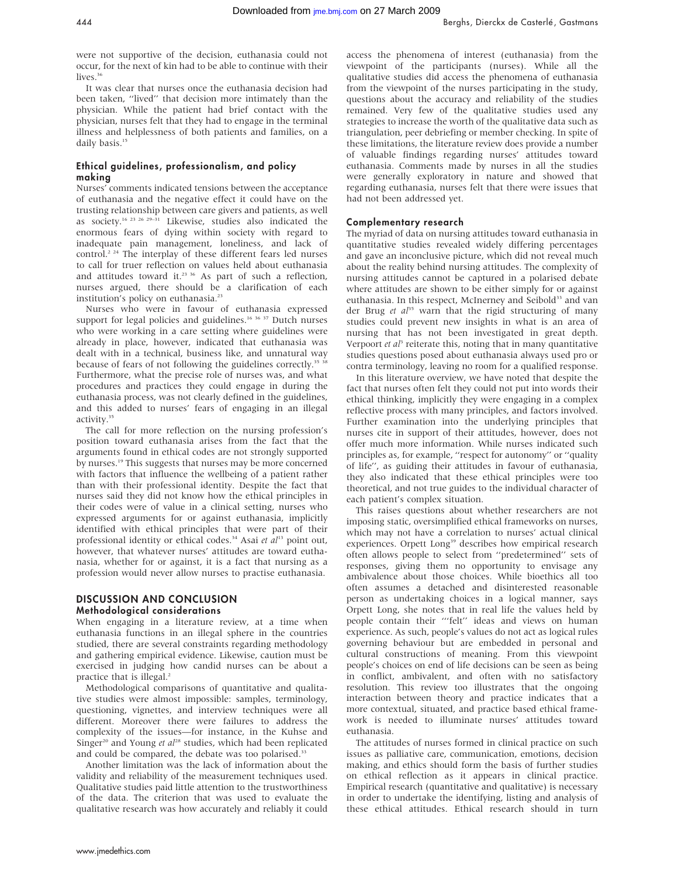were not supportive of the decision, euthanasia could not occur, for the next of kin had to be able to continue with their

lives.<sup>36</sup> It was clear that nurses once the euthanasia decision had been taken, ''lived'' that decision more intimately than the physician. While the patient had brief contact with the physician, nurses felt that they had to engage in the terminal illness and helplessness of both patients and families, on a daily basis.<sup>15</sup>

# Ethical guidelines, professionalism, and policy making

Nurses' comments indicated tensions between the acceptance of euthanasia and the negative effect it could have on the trusting relationship between care givers and patients, as well as society.16 23 26 29–31 Likewise, studies also indicated the enormous fears of dying within society with regard to inadequate pain management, loneliness, and lack of control.<sup>2 24</sup> The interplay of these different fears led nurses to call for truer reflection on values held about euthanasia and attitudes toward it.<sup>23 36</sup> As part of such a reflection, nurses argued, there should be a clarification of each institution's policy on euthanasia.<sup>23</sup>

Nurses who were in favour of euthanasia expressed support for legal policies and guidelines.<sup>16 36</sup> <sup>37</sup> Dutch nurses who were working in a care setting where guidelines were already in place, however, indicated that euthanasia was dealt with in a technical, business like, and unnatural way because of fears of not following the guidelines correctly.<sup>35</sup> <sup>38</sup> Furthermore, what the precise role of nurses was, and what procedures and practices they could engage in during the euthanasia process, was not clearly defined in the guidelines, and this added to nurses' fears of engaging in an illegal activity.<sup>35</sup>

The call for more reflection on the nursing profession's position toward euthanasia arises from the fact that the arguments found in ethical codes are not strongly supported by nurses.19 This suggests that nurses may be more concerned with factors that influence the wellbeing of a patient rather than with their professional identity. Despite the fact that nurses said they did not know how the ethical principles in their codes were of value in a clinical setting, nurses who expressed arguments for or against euthanasia, implicitly identified with ethical principles that were part of their professional identity or ethical codes.<sup>34</sup> Asai et  $al<sup>13</sup>$  point out, however, that whatever nurses' attitudes are toward euthanasia, whether for or against, it is a fact that nursing as a profession would never allow nurses to practise euthanasia.

# DISCUSSION AND CONCLUSION Methodological considerations

When engaging in a literature review, at a time when euthanasia functions in an illegal sphere in the countries studied, there are several constraints regarding methodology and gathering empirical evidence. Likewise, caution must be exercised in judging how candid nurses can be about a practice that is illegal. $<sup>2</sup>$ </sup>

Methodological comparisons of quantitative and qualitative studies were almost impossible: samples, terminology, questioning, vignettes, and interview techniques were all different. Moreover there were failures to address the complexity of the issues—for instance, in the Kuhse and Singer<sup>20</sup> and Young et  $al^{28}$  studies, which had been replicated and could be compared, the debate was too polarised.<sup>33</sup>

Another limitation was the lack of information about the validity and reliability of the measurement techniques used. Qualitative studies paid little attention to the trustworthiness of the data. The criterion that was used to evaluate the qualitative research was how accurately and reliably it could access the phenomena of interest (euthanasia) from the viewpoint of the participants (nurses). While all the qualitative studies did access the phenomena of euthanasia from the viewpoint of the nurses participating in the study, questions about the accuracy and reliability of the studies remained. Very few of the qualitative studies used any strategies to increase the worth of the qualitative data such as triangulation, peer debriefing or member checking. In spite of these limitations, the literature review does provide a number of valuable findings regarding nurses' attitudes toward euthanasia. Comments made by nurses in all the studies were generally exploratory in nature and showed that regarding euthanasia, nurses felt that there were issues that had not been addressed yet.

# Complementary research

The myriad of data on nursing attitudes toward euthanasia in quantitative studies revealed widely differing percentages and gave an inconclusive picture, which did not reveal much about the reality behind nursing attitudes. The complexity of nursing attitudes cannot be captured in a polarised debate where attitudes are shown to be either simply for or against euthanasia. In this respect, McInerney and Seibold<sup>33</sup> and van der Brug et  $al^{35}$  warn that the rigid structuring of many studies could prevent new insights in what is an area of nursing that has not been investigated in great depth. Verpoort  $et$   $al<sup>3</sup>$  reiterate this, noting that in many quantitative studies questions posed about euthanasia always used pro or contra terminology, leaving no room for a qualified response.

In this literature overview, we have noted that despite the fact that nurses often felt they could not put into words their ethical thinking, implicitly they were engaging in a complex reflective process with many principles, and factors involved. Further examination into the underlying principles that nurses cite in support of their attitudes, however, does not offer much more information. While nurses indicated such principles as, for example, ''respect for autonomy'' or ''quality of life'', as guiding their attitudes in favour of euthanasia, they also indicated that these ethical principles were too theoretical, and not true guides to the individual character of each patient's complex situation.

This raises questions about whether researchers are not imposing static, oversimplified ethical frameworks on nurses, which may not have a correlation to nurses' actual clinical experiences. Orpett Long<sup>39</sup> describes how empirical research often allows people to select from ''predetermined'' sets of responses, giving them no opportunity to envisage any ambivalence about those choices. While bioethics all too often assumes a detached and disinterested reasonable person as undertaking choices in a logical manner, says Orpett Long, she notes that in real life the values held by people contain their '''felt'' ideas and views on human experience. As such, people's values do not act as logical rules governing behaviour but are embedded in personal and cultural constructions of meaning. From this viewpoint people's choices on end of life decisions can be seen as being in conflict, ambivalent, and often with no satisfactory resolution. This review too illustrates that the ongoing interaction between theory and practice indicates that a more contextual, situated, and practice based ethical framework is needed to illuminate nurses' attitudes toward euthanasia.

The attitudes of nurses formed in clinical practice on such issues as palliative care, communication, emotions, decision making, and ethics should form the basis of further studies on ethical reflection as it appears in clinical practice. Empirical research (quantitative and qualitative) is necessary in order to undertake the identifying, listing and analysis of these ethical attitudes. Ethical research should in turn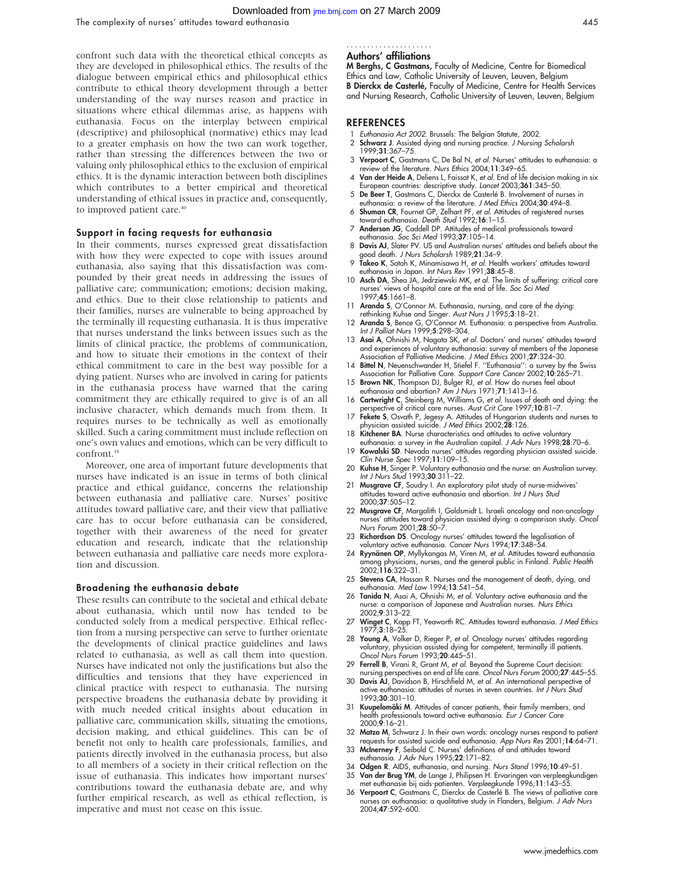confront such data with the theoretical ethical concepts as they are developed in philosophical ethics. The results of the dialogue between empirical ethics and philosophical ethics contribute to ethical theory development through a better understanding of the way nurses reason and practice in situations where ethical dilemmas arise, as happens with euthanasia. Focus on the interplay between empirical (descriptive) and philosophical (normative) ethics may lead to a greater emphasis on how the two can work together, rather than stressing the differences between the two or valuing only philosophical ethics to the exclusion of empirical ethics. It is the dynamic interaction between both disciplines which contributes to a better empirical and theoretical understanding of ethical issues in practice and, consequently, to improved patient care.<sup>40</sup>

#### Support in facing requests for euthanasia

In their comments, nurses expressed great dissatisfaction with how they were expected to cope with issues around euthanasia, also saying that this dissatisfaction was compounded by their great needs in addressing the issues of palliative care; communication; emotions; decision making, and ethics. Due to their close relationship to patients and their families, nurses are vulnerable to being approached by the terminally ill requesting euthanasia. It is thus imperative that nurses understand the links between issues such as the limits of clinical practice, the problems of communication, and how to situate their emotions in the context of their ethical commitment to care in the best way possible for a dying patient. Nurses who are involved in caring for patients in the euthanasia process have warned that the caring commitment they are ethically required to give is of an all inclusive character, which demands much from them. It requires nurses to be technically as well as emotionally skilled. Such a caring commitment must include reflection on one's own values and emotions, which can be very difficult to confront.<sup>35</sup>

Moreover, one area of important future developments that nurses have indicated is an issue in terms of both clinical practice and ethical guidance, concerns the relationship between euthanasia and palliative care. Nurses' positive attitudes toward palliative care, and their view that palliative care has to occur before euthanasia can be considered, together with their awareness of the need for greater education and research, indicate that the relationship between euthanasia and palliative care needs more exploration and discussion.

#### Broadening the euthanasia debate

These results can contribute to the societal and ethical debate about euthanasia, which until now has tended to be conducted solely from a medical perspective. Ethical reflection from a nursing perspective can serve to further orientate the developments of clinical practice guidelines and laws related to euthanasia, as well as call them into question. Nurses have indicated not only the justifications but also the difficulties and tensions that they have experienced in clinical practice with respect to euthanasia. The nursing perspective broadens the euthanasia debate by providing it with much needed critical insights about education in palliative care, communication skills, situating the emotions, decision making, and ethical guidelines. This can be of benefit not only to health care professionals, families, and patients directly involved in the euthanasia process, but also to all members of a society in their critical reflection on the issue of euthanasia. This indicates how important nurses' contributions toward the euthanasia debate are, and why further empirical research, as well as ethical reflection, is imperative and must not cease on this issue.

#### Authors' affiliations .....................

M Berghs, C Gastmans, Faculty of Medicine, Centre for Biomedical Ethics and Law, Catholic University of Leuven, Leuven, Belgium B Dierckx de Casterlé, Faculty of Medicine, Centre for Health Services and Nursing Research, Catholic University of Leuven, Leuven, Belgium

#### **REFERENCES**

- Euthanasia Act 2002. Brussels: The Belgian Statute, 2002.
- 2 Schwarz J. Assisted dying and nursing practice. J Nursing Scholarsh 1999;31:367–75.
- 3 Verpoort C, Gastmans C, De Bal N, et al. Nurses' attitudes to euthanasia: a review of the literature. Nurs Ethics 2004;11:349–65.
- 4 Van der Heide A, Deliens L, Faissat K, et al. End of life decision making in six European countries: descriptive study. Lancet 2003;361:345–50.
- 5 De Beer T, Gastmans C, Dierckx de Casterlé B. Involvement of nurses in euthanasia: a review of the literature. J Med Ethics 2004;30:494–8.
- 6 Shuman CR, Fournet GP, Zelhart PF, et al. Attitudes of registered nurses toward euthanasia. Death Stud 1992;16:1–15.
- 7 Anderson JG, Caddell DP. Attitudes of medical professionals toward euthanasia. Soc Sci Med 1993;37:105–14.
- 8 Davis AJ, Slater PV. US and Australian nurses' attitudes and beliefs about the good death. *J Nurs Scholarsh* 1989;**21**:34–9.<br>9 **Takeo K**, Satoh K, Minamisawa H, *et al.* Health workers' attitudes toward
- euthanasia in Japan. Int Nurs Rev 1991;38:45–8.
- 10 Asch DA, Shea JA, Jedrziewski MK, et al. The limits of suffering: critical care nurses' views of hospital care at the end of life. Soc Sci Med 1997;45:1661–8.
- 11 Aranda S, O'Connor M. Euthanasia, nursing, and care of the dying: rethinking Kuhse and Singer. Aust Nurs J 1995;3:18–21.
- 12 Aranda S, Bence G, O'Connor M. Euthanasia: a perspective from Australia. Int J Palliat Nurs 1999;5:298–304.
- 13 Asai A, Ohnishi M, Nagata SK, et al. Doctors' and nurses' attitudes toward and experiences of voluntary euthanasia: survey of members of the Japanese Association of Palliative Medicine. J Med Ethics 2001;27:324–30.
- 14 Bittel N, Neuenschwander H, Stiefel F. ''Euthanasia'': a survey by the Swiss Association for Palliative Care. Support Care Cancer 2002;10:265-71.
- 15 Brown NK, Thompson DJ, Bulger RJ, et al. How do nurses feel about euthanasia and abortion? Am J Nurs 1971;71:1413–16.
- 16 Cartwright C, Steinberg M, Williams G, et al. Issues of death and dying: the perspective of critical care nurses. Aust Crit Care 1997;10:81-7.
- 17 Fekete S, Osvath P, Jegesy A. Attitudes of Hungarian students and nurses to hysician assisted suicide. J Med Ethics 2002;28:126.
- 18 Kitchener BA. Nurse characteristics and attitudes to active voluntary euthanasia: a survey in the Australian capital. *J Adv Nurs* 1998;**28**:70–6.
- 19 Kowalski SD. Nevada nurses' attitudes regarding physician assisted suicide. Clin Nurse Spec 1997;11:109–15.
- 20 Kuhse H, Singer P. Voluntary euthanasia and the nurse: an Australian survey. Int J Nurs Stud 1993;30:311–22.
- 21 Musgrave CF, Soudry I. An exploratory pilot study of nurse-midwives' attitudes toward active euthanasia and abortion. Int J Nurs Stud 2000;37:505–12.
- 22 Musgrave CF, Margalith I, Goldsmidt L. Israeli oncology and non-oncology nurses' attitudes toward physician assisted dying: a comparison study. *Oncol*<br>Nurs Forum 2001;**28**:50–7.
- 23 Richardson DS. Oncology nurses' attitudes toward the legalisation of voluntary active euthanasia. Cancer Nurs 1994;17:348–54.
- 24 Ryynänen OP, Myllykangas M, Viren M, et al. Attitudes toward euthanasia among physicians, nurses, and the general public in Finland. *Public Health*<br>2002;**116**:322–31.
- 25 Stevens CA, Hassan R. Nurses and the management of death, dying, and euthanasia. Med Law 1994;13:541–54.
- 26 Tanida N, Asai A, Ohnishi M, et al. Voluntary active euthanasia and the nurse: a comparison of Japanese and Australian nurses. Nurs Ethics 2002;9:313–22.
- 27 Winget C, Kapp FT, Yeaworth RC. Attitudes toward euthanasia. J Med Ethics<br>1977-3-18-25  $7:3:18-25$
- 28 Young A, Volker D, Rieger P, et al. Oncology nurses' attitudes regarding voluntary, physician assisted dying for competent, terminally ill patients. Oncol Nurs Forum 1993;20:445–51.
- 29 Ferrell B, Virani R, Grant M, et al. Beyond the Supreme Court decision: nursing perspectives on end of life care. Oncol Nurs Forum 2000;27:445–55.
- 30 Davis AJ, Davidson B, Hirschfield M, et al. An international perspective of active euthanasia: attitudes of nurses in seven countries. Int J Nurs Stud 1993;30:301–10.
- 31 Kuupelomäki M. Attitudes of cancer patients, their family members, and health professionals toward active euthanasia. Eur J Cancer Care 2000;9:16–21.
- 32 Matzo M, Schwarz J. In their own words: oncology nurses respond to patient requests for assisted suicide and euthanasia. App Nurs Res 2001;14:64–71.
- 33 McInerney F, Seibold C. Nurses' definitions of and attitudes toward euthanasia. J Adv Nurs 1995;22:171–82.
- 
- 34 **Odgen R**. AIDS, euthanasia, and nursing. *Nurs Stand* 1996;1**0**:49–51.<br>35 **Van der Brug YM**, de Lange J, Philipsen H. Ervaringen van verpleegkundigen<br>1996;11:143–55. met euthanasie bij aids-patienten. *Verpleegkunde* 1
- 36 Verpoort C, Gastmans C, Dierckx de Casterlé B. The views of palliative care nurses on euthanasia: a qualitative study in Flanders, Belgium. J Adv Nurs 2004;47:592–600.